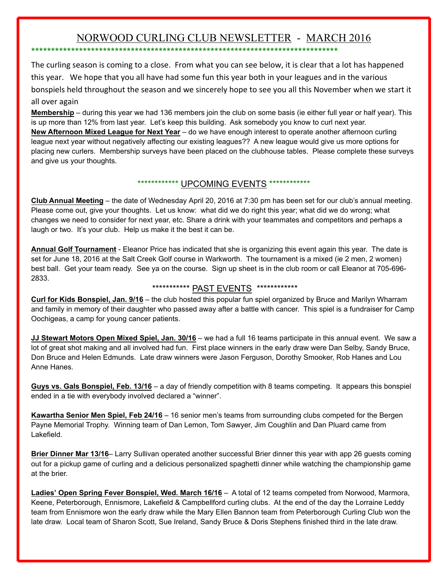# NORWOOD CURLING CLUB NEWSLETTER - MARCH 2016

\*\*\*\*\*\*\*\*\*\*\*\*\*\*\*\*\*\*\*\*\*\*\*\*\*\*\*\*\*\*\*\*\*\*\*\*\*\*\*\*\*\*\*\*\*\*\*\*\*\*\*\*\*\*\*\*\*\*\*\*\*\*\*\*\*\*\*\*\*\*\*\*\*\*\*\*\*

The curling season is coming to a close. From what you can see below, it is clear that a lot has happened this year. We hope that you all have had some fun this year both in your leagues and in the various bonspiels held throughout the season and we sincerely hope to see you all this November when we start it all over again

**Membership** – during this year we had 136 members join the club on some basis (ie either full year or half year). This is up more than 12% from last year. Let's keep this building. Ask somebody you know to curl next year. **New Afternoon Mixed League for Next Year** – do we have enough interest to operate another afternoon curling league next year without negatively affecting our existing leagues?? A new league would give us more options for placing new curlers. Membership surveys have been placed on the clubhouse tables. Please complete these surveys and give us your thoughts.

# \*\*\*\*\*\*\*\*\*\*\*\*\* UPCOMING EVENTS \*\*\*\*\*\*\*\*\*\*\*\*\*

**Club Annual Meeting** – the date of Wednesday April 20, 2016 at 7:30 pm has been set for our club's annual meeting. Please come out, give your thoughts. Let us know: what did we do right this year; what did we do wrong; what changes we need to consider for next year, etc. Share a drink with your teammates and competitors and perhaps a laugh or two. It's your club. Help us make it the best it can be.

**Annual Golf Tournament** Eleanor Price has indicated that she is organizing this event again this year. The date is set for June 18, 2016 at the Salt Creek Golf course in Warkworth. The tournament is a mixed (ie 2 men, 2 women) best ball. Get your team ready. See ya on the course. Sign up sheet is in the club room or call Eleanor at 705-696-2833.

# \*\*\*\*\*\*\*\*\*\*\* PAST EVENTS \*\*\*\*\*\*\*\*\*\*\*\*

**Curl for Kids Bonspiel, Jan. 9/16** – the club hosted this popular fun spiel organized by Bruce and Marilyn Wharram and family in memory of their daughter who passed away after a battle with cancer. This spiel is a fundraiser for Camp Oochigeas, a camp for young cancer patients.

**JJ Stewart Motors Open Mixed Spiel, Jan. 30/16** – we had a full 16 teams participate in this annual event. We saw a lot of great shot making and all involved had fun. First place winners in the early draw were Dan Selby, Sandy Bruce, Don Bruce and Helen Edmunds. Late draw winners were Jason Ferguson, Dorothy Smooker, Rob Hanes and Lou Anne Hanes.

**Guys vs. Gals Bonspiel, Feb. 13/16** – a day of friendly competition with 8 teams competing. It appears this bonspiel ended in a tie with everybody involved declared a "winner".

**Kawartha Senior Men Spiel, Feb 24/16** – 16 senior men's teams from surrounding clubs competed for the Bergen Payne Memorial Trophy. Winning team of Dan Lemon, Tom Sawyer, Jim Coughlin and Dan Pluard came from Lakefield.

**Brier Dinner Mar 13/16**– Larry Sullivan operated another successful Brier dinner this year with app 26 guests coming out for a pickup game of curling and a delicious personalized spaghetti dinner while watching the championship game at the brier.

**Ladies' Open Spring Fever Bonspiel, Wed. March 16/16** – A total of 12 teams competed from Norwood, Marmora, Keene, Peterborough, Ennismore, Lakefield & Campbellford curling clubs. At the end of the day the Lorraine Leddy team from Ennismore won the early draw while the Mary Ellen Bannon team from Peterborough Curling Club won the late draw. Local team of Sharon Scott, Sue Ireland, Sandy Bruce & Doris Stephens finished third in the late draw.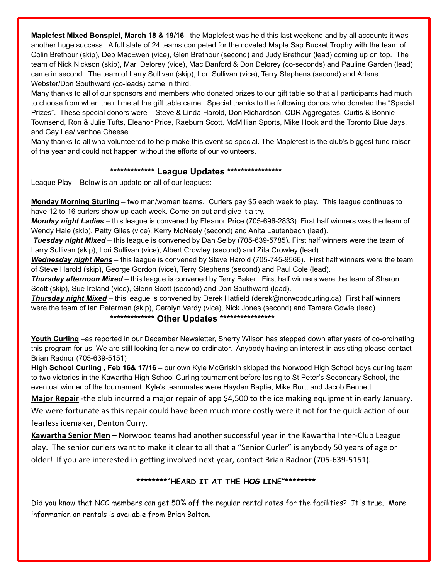**Maplefest Mixed Bonspiel, March 18 & 19/16**– the Maplefest was held this last weekend and by all accounts it was another huge success. A full slate of 24 teams competed for the coveted Maple Sap Bucket Trophy with the team of Colin Brethour (skip), Deb MacEwen (vice), Glen Brethour (second) and Judy Brethour (lead) coming up on top. The team of Nick Nickson (skip), Marj Delorey (vice), Mac Danford & Don Delorey (co-seconds) and Pauline Garden (lead) came in second. The team of Larry Sullivan (skip), Lori Sullivan (vice), Terry Stephens (second) and Arlene Webster/Don Southward (co-leads) came in third.

Many thanks to all of our sponsors and members who donated prizes to our gift table so that all participants had much to choose from when their time at the gift table came. Special thanks to the following donors who donated the "Special Prizes". These special donors were – Steve & Linda Harold, Don Richardson, CDR Aggregates, Curtis & Bonnie Townsend, Ron & Julie Tufts, Eleanor Price, Raeburn Scott, McMillian Sports, Mike Hook and the Toronto Blue Jays, and Gay Lea/Ivanhoe Cheese.

Many thanks to all who volunteered to help make this event so special. The Maplefest is the club's biggest fund raiser of the year and could not happen without the efforts of our volunteers.

#### **\*\*\*\*\*\*\*\*\*\*\*\*\* League Updates \*\*\*\*\*\*\*\*\*\*\*\*\*\*\*\***

League Play – Below is an update on all of our leagues:

**Monday Morning Sturling** – two man/women teams. Curlers pay \$5 each week to play. This league continues to have 12 to 16 curlers show up each week. Come on out and give it a try.

*Monday night Ladies* – this league is convened by Eleanor Price (705-696-2833). First half winners was the team of Wendy Hale (skip), Patty Giles (vice), Kerry McNeely (second) and Anita Lautenbach (lead).

*Tuesday night Mixed* – this league is convened by Dan Selby (705-639-5785). First half winners were the team of Larry Sullivan (skip), Lori Sullivan (vice), Albert Crowley (second) and Zita Crowley (lead).

*Wednesday night Mens* – this league is convened by Steve Harold (705-745-9566). First half winners were the team of Steve Harold (skip), George Gordon (vice), Terry Stephens (second) and Paul Cole (lead).

**Thursday afternoon Mixed** – this league is convened by Terry Baker. First half winners were the team of Sharon Scott (skip), Sue Ireland (vice), Glenn Scott (second) and Don Southward (lead).

*Thursday night Mixed* – this league is convened by Derek Hatfield (derek@norwoodcurling.ca) First half winners were the team of Ian Peterman (skip), Carolyn Vardy (vice), Nick Jones (second) and Tamara Cowie (lead).

# **\*\*\*\*\*\*\*\*\*\*\*\*\* Other Updates \*\*\*\*\*\*\*\*\*\*\*\*\*\*\*\***

**Youth Curling** –as reported in our December Newsletter, Sherry Wilson has stepped down after years of co-ordinating this program for us. We are still looking for a new co-ordinator. Anybody having an interest in assisting please contact Brian Radnor (705-639-5151)

**High School Curling , Feb 16& 17/16** – our own Kyle McGriskin skipped the Norwood High School boys curling team to two victories in the Kawartha High School Curling tournament before losing to St Peter's Secondary School, the eventual winner of the tournament. Kyle's teammates were Hayden Baptie, Mike Burtt and Jacob Bennett.

**Major Repair** -the club incurred a major repair of app \$4,500 to the ice making equipment in early January. We were fortunate as this repair could have been much more costly were it not for the quick action of our fearless icemaker, Denton Curry.

**Kawartha Senior Men** – Norwood teams had another successful year in the Kawartha Inter-Club League play. The senior curlers want to make it clear to all that a "Senior Curler" is anybody 50 years of age or older! If you are interested in getting involved next year, contact Brian Radnor (705‐639‐5151).

# **\*\*\*\*\*\*\*\*"HEARD IT AT THE HOG LINE"\*\*\*\*\*\*\*\***

Did you know that NCC members can get 50% off the regular rental rates for the facilities? It's true. More information on rentals is available from Brian Bolton.